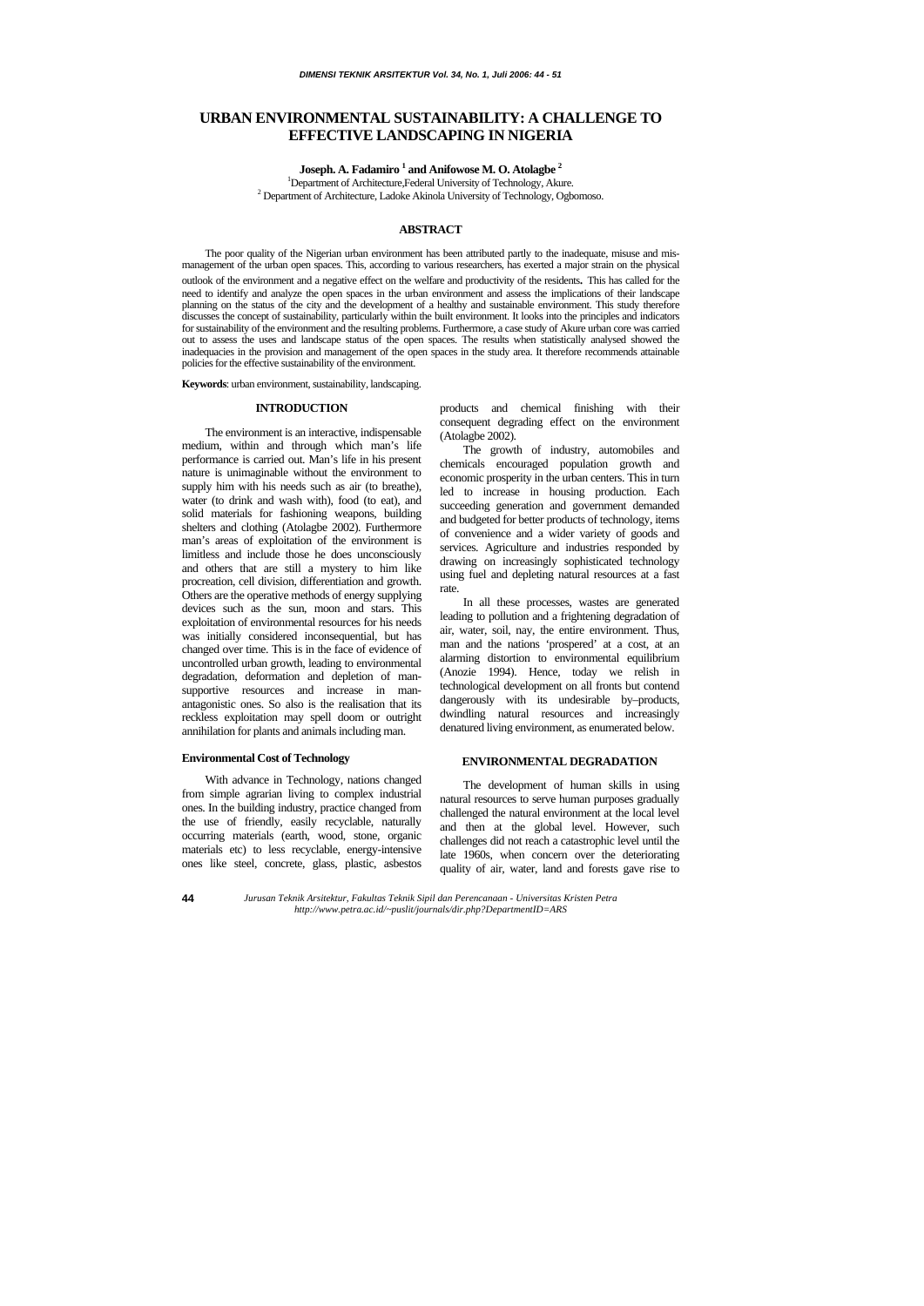# **URBAN ENVIRONMENTAL SUSTAINABILITY: A CHALLENGE TO EFFECTIVE LANDSCAPING IN NIGERIA**

<code>Joseph. A. Fadamiro  $^1$ </code> and Anifowose M. O. Atolagbe  $^2$ 

<sup>1</sup>Department of Architecture,Federal University of Technology, Akure.<br><sup>2</sup> Department of Architecture, Ledeke Akinele University of Technology, Ocho <sup>2</sup> Department of Architecture, Ladoke Akinola University of Technology, Ogbomoso.

# **ABSTRACT**

The poor quality of the Nigerian urban environment has been attributed partly to the inadequate, misuse and mismanagement of the urban open spaces. This, according to various researchers, has exerted a major strain on the physical

outlook of the environment and a negative effect on the welfare and productivity of the residents*.* This has called for the need to identify and analyze the open spaces in the urban environment and assess the implications of their landscape planning on the status of the city and the development of a healthy and sustainable environment. This study therefore discusses the concept of sustainability, particularly within the built environment. It looks into the principles and indicators for sustainability of the environment and the resulting problems. Furthermore, a case study of Akure urban core was carried out to assess the uses and landscape status of the open spaces. The results when statistically analysed showed the inadequacies in the provision and management of the open spaces in the study area. It therefore recommends attainable policies for the effective sustainability of the environment.

**Keywords**: urban environment, sustainability, landscaping.

### **INTRODUCTION**

The environment is an interactive, indispensable medium, within and through which man's life performance is carried out. Man's life in his present nature is unimaginable without the environment to supply him with his needs such as air (to breathe), water (to drink and wash with), food (to eat), and solid materials for fashioning weapons, building shelters and clothing (Atolagbe 2002). Furthermore man's areas of exploitation of the environment is limitless and include those he does unconsciously and others that are still a mystery to him like procreation, cell division, differentiation and growth. Others are the operative methods of energy supplying devices such as the sun, moon and stars. This exploitation of environmental resources for his needs was initially considered inconsequential, but has changed over time. This is in the face of evidence of uncontrolled urban growth, leading to environmental degradation, deformation and depletion of mansupportive resources and increase in manantagonistic ones. So also is the realisation that its reckless exploitation may spell doom or outright annihilation for plants and animals including man.

### **Environmental Cost of Technology**

With advance in Technology, nations changed from simple agrarian living to complex industrial ones. In the building industry, practice changed from the use of friendly, easily recyclable, naturally occurring materials (earth, wood, stone, organic materials etc) to less recyclable, energy-intensive ones like steel, concrete, glass, plastic, asbestos

products and chemical finishing with their consequent degrading effect on the environment (Atolagbe 2002).

The growth of industry, automobiles and chemicals encouraged population growth and economic prosperity in the urban centers. This in turn led to increase in housing production. Each succeeding generation and government demanded and budgeted for better products of technology, items of convenience and a wider variety of goods and services. Agriculture and industries responded by drawing on increasingly sophisticated technology using fuel and depleting natural resources at a fast rate.

In all these processes, wastes are generated leading to pollution and a frightening degradation of air, water, soil, nay, the entire environment. Thus, man and the nations 'prospered' at a cost, at an alarming distortion to environmental equilibrium (Anozie 1994). Hence, today we relish in technological development on all fronts but contend dangerously with its undesirable by–products, dwindling natural resources and increasingly denatured living environment, as enumerated below.

# **ENVIRONMENTAL DEGRADATION**

The development of human skills in using natural resources to serve human purposes gradually challenged the natural environment at the local level and then at the global level. However, such challenges did not reach a catastrophic level until the late 1960s, when concern over the deteriorating quality of air, water, land and forests gave rise to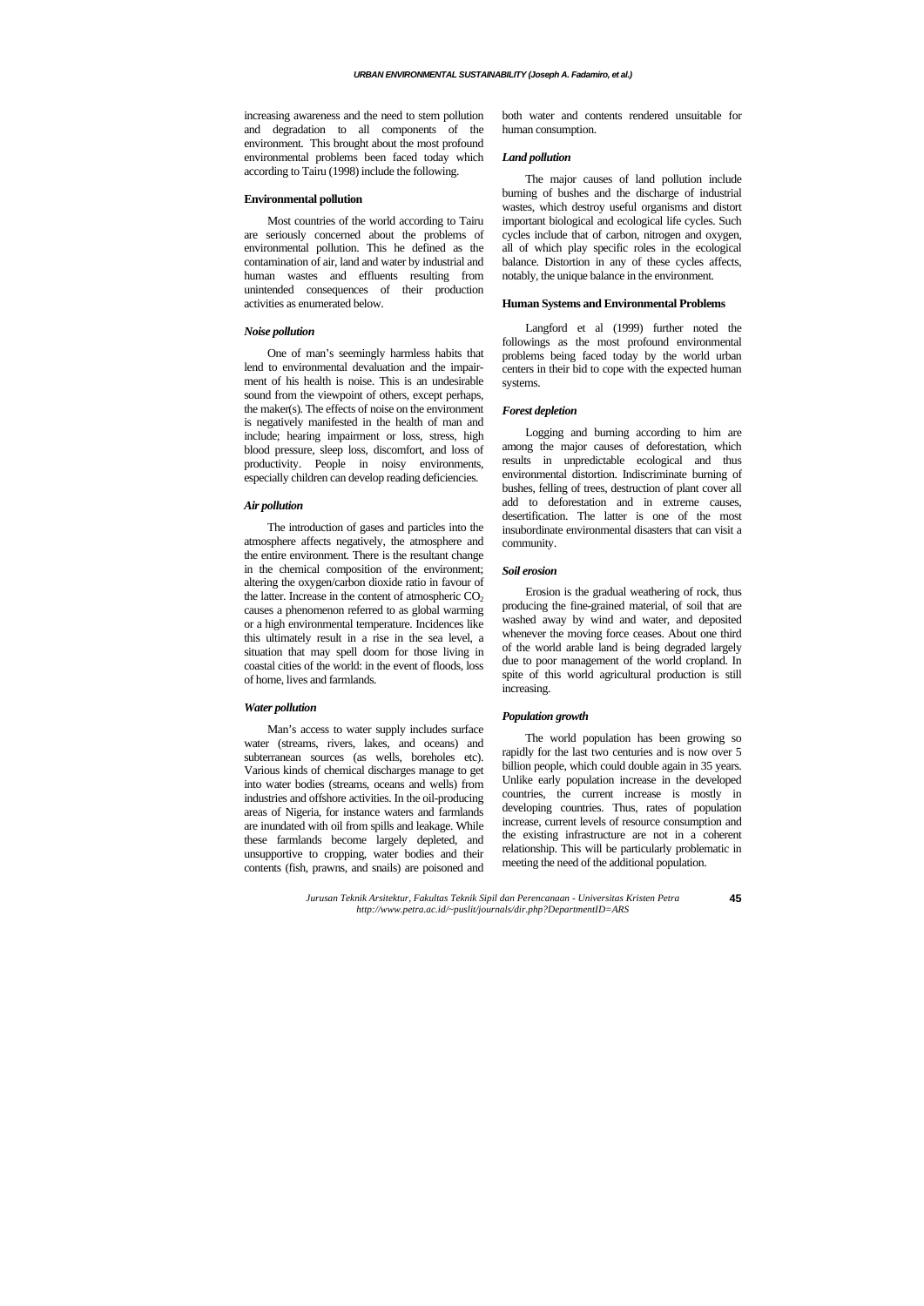increasing awareness and the need to stem pollution and degradation to all components of the environment. This brought about the most profound environmental problems been faced today which according to Tairu (1998) include the following.

#### **Environmental pollution**

Most countries of the world according to Tairu are seriously concerned about the problems of environmental pollution. This he defined as the contamination of air, land and water by industrial and human wastes and effluents resulting from unintended consequences of their production activities as enumerated below.

### *Noise pollution*

One of man's seemingly harmless habits that lend to environmental devaluation and the impairment of his health is noise. This is an undesirable sound from the viewpoint of others, except perhaps, the maker(s). The effects of noise on the environment is negatively manifested in the health of man and include; hearing impairment or loss, stress, high blood pressure, sleep loss, discomfort, and loss of productivity. People in noisy environments, especially children can develop reading deficiencies.

### *Air pollution*

The introduction of gases and particles into the atmosphere affects negatively, the atmosphere and the entire environment. There is the resultant change in the chemical composition of the environment; altering the oxygen/carbon dioxide ratio in favour of the latter. Increase in the content of atmospheric  $CO<sub>2</sub>$ causes a phenomenon referred to as global warming or a high environmental temperature. Incidences like this ultimately result in a rise in the sea level, a situation that may spell doom for those living in coastal cities of the world: in the event of floods, loss of home, lives and farmlands.

### *Water pollution*

Man's access to water supply includes surface water (streams, rivers, lakes, and oceans) and subterranean sources (as wells, boreholes etc). Various kinds of chemical discharges manage to get into water bodies (streams, oceans and wells) from industries and offshore activities. In the oil-producing areas of Nigeria, for instance waters and farmlands are inundated with oil from spills and leakage. While these farmlands become largely depleted, and unsupportive to cropping, water bodies and their contents (fish, prawns, and snails) are poisoned and both water and contents rendered unsuitable for human consumption.

### *Land pollution*

The major causes of land pollution include burning of bushes and the discharge of industrial wastes, which destroy useful organisms and distort important biological and ecological life cycles. Such cycles include that of carbon, nitrogen and oxygen, all of which play specific roles in the ecological balance. Distortion in any of these cycles affects, notably, the unique balance in the environment.

### **Human Systems and Environmental Problems**

Langford et al (1999) further noted the followings as the most profound environmental problems being faced today by the world urban centers in their bid to cope with the expected human systems.

### *Forest depletion*

Logging and burning according to him are among the major causes of deforestation, which results in unpredictable ecological and thus environmental distortion. Indiscriminate burning of bushes, felling of trees, destruction of plant cover all add to deforestation and in extreme causes, desertification. The latter is one of the most insubordinate environmental disasters that can visit a community.

#### *Soil erosion*

Erosion is the gradual weathering of rock, thus producing the fine-grained material, of soil that are washed away by wind and water, and deposited whenever the moving force ceases. About one third of the world arable land is being degraded largely due to poor management of the world cropland. In spite of this world agricultural production is still increasing.

### *Population growth*

The world population has been growing so rapidly for the last two centuries and is now over 5 billion people, which could double again in 35 years. Unlike early population increase in the developed countries, the current increase is mostly in developing countries. Thus, rates of population increase, current levels of resource consumption and the existing infrastructure are not in a coherent relationship. This will be particularly problematic in meeting the need of the additional population.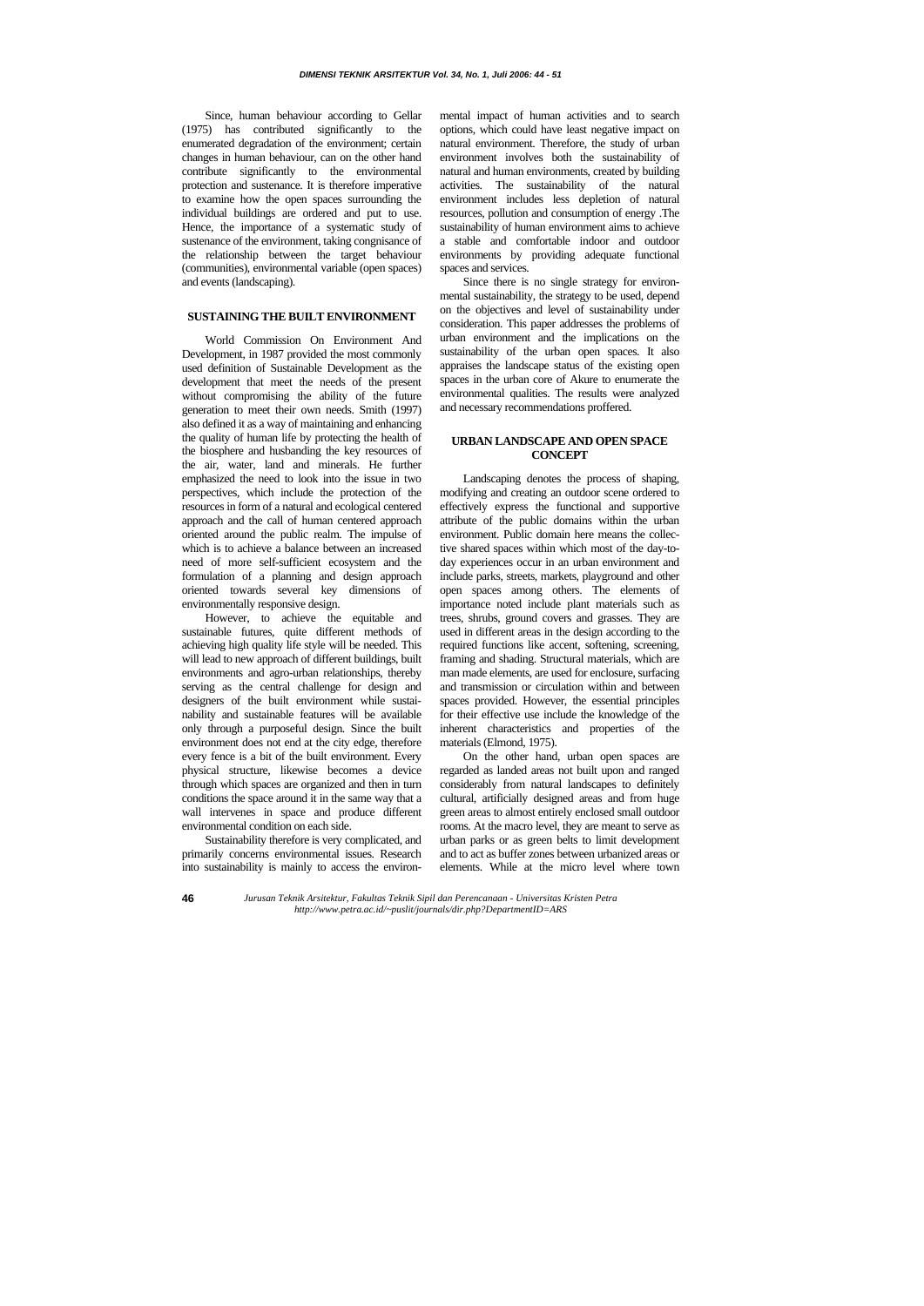**46** 

Since, human behaviour according to Gellar (1975) has contributed significantly to the enumerated degradation of the environment; certain changes in human behaviour, can on the other hand contribute significantly to the environmental protection and sustenance. It is therefore imperative to examine how the open spaces surrounding the individual buildings are ordered and put to use. Hence, the importance of a systematic study of sustenance of the environment, taking congnisance of the relationship between the target behaviour (communities), environmental variable (open spaces) and events (landscaping).

# **SUSTAINING THE BUILT ENVIRONMENT**

World Commission On Environment And Development, in 1987 provided the most commonly used definition of Sustainable Development as the development that meet the needs of the present without compromising the ability of the future generation to meet their own needs. Smith (1997) also defined it as a way of maintaining and enhancing the quality of human life by protecting the health of the biosphere and husbanding the key resources of the air, water, land and minerals. He further emphasized the need to look into the issue in two perspectives, which include the protection of the resources in form of a natural and ecological centered approach and the call of human centered approach oriented around the public realm. The impulse of which is to achieve a balance between an increased need of more self-sufficient ecosystem and the formulation of a planning and design approach oriented towards several key dimensions of environmentally responsive design.

However, to achieve the equitable and sustainable futures, quite different methods of achieving high quality life style will be needed. This will lead to new approach of different buildings, built environments and agro-urban relationships, thereby serving as the central challenge for design and designers of the built environment while sustainability and sustainable features will be available only through a purposeful design. Since the built environment does not end at the city edge, therefore every fence is a bit of the built environment. Every physical structure, likewise becomes a device through which spaces are organized and then in turn conditions the space around it in the same way that a wall intervenes in space and produce different environmental condition on each side.

Sustainability therefore is very complicated, and primarily concerns environmental issues. Research into sustainability is mainly to access the environ-

mental impact of human activities and to search options, which could have least negative impact on natural environment. Therefore, the study of urban environment involves both the sustainability of natural and human environments, created by building activities. The sustainability of the natural environment includes less depletion of natural resources, pollution and consumption of energy .The sustainability of human environment aims to achieve a stable and comfortable indoor and outdoor environments by providing adequate functional spaces and services.

Since there is no single strategy for environmental sustainability, the strategy to be used, depend on the objectives and level of sustainability under consideration. This paper addresses the problems of urban environment and the implications on the sustainability of the urban open spaces. It also appraises the landscape status of the existing open spaces in the urban core of Akure to enumerate the environmental qualities. The results were analyzed and necessary recommendations proffered.

# **URBAN LANDSCAPE AND OPEN SPACE CONCEPT**

Landscaping denotes the process of shaping, modifying and creating an outdoor scene ordered to effectively express the functional and supportive attribute of the public domains within the urban environment. Public domain here means the collective shared spaces within which most of the day-today experiences occur in an urban environment and include parks, streets, markets, playground and other open spaces among others. The elements of importance noted include plant materials such as trees, shrubs, ground covers and grasses. They are used in different areas in the design according to the required functions like accent, softening, screening, framing and shading. Structural materials, which are man made elements, are used for enclosure, surfacing and transmission or circulation within and between spaces provided. However, the essential principles for their effective use include the knowledge of the inherent characteristics and properties of the materials (Elmond, 1975).

On the other hand, urban open spaces are regarded as landed areas not built upon and ranged considerably from natural landscapes to definitely cultural, artificially designed areas and from huge green areas to almost entirely enclosed small outdoor rooms. At the macro level, they are meant to serve as urban parks or as green belts to limit development and to act as buffer zones between urbanized areas or elements. While at the micro level where town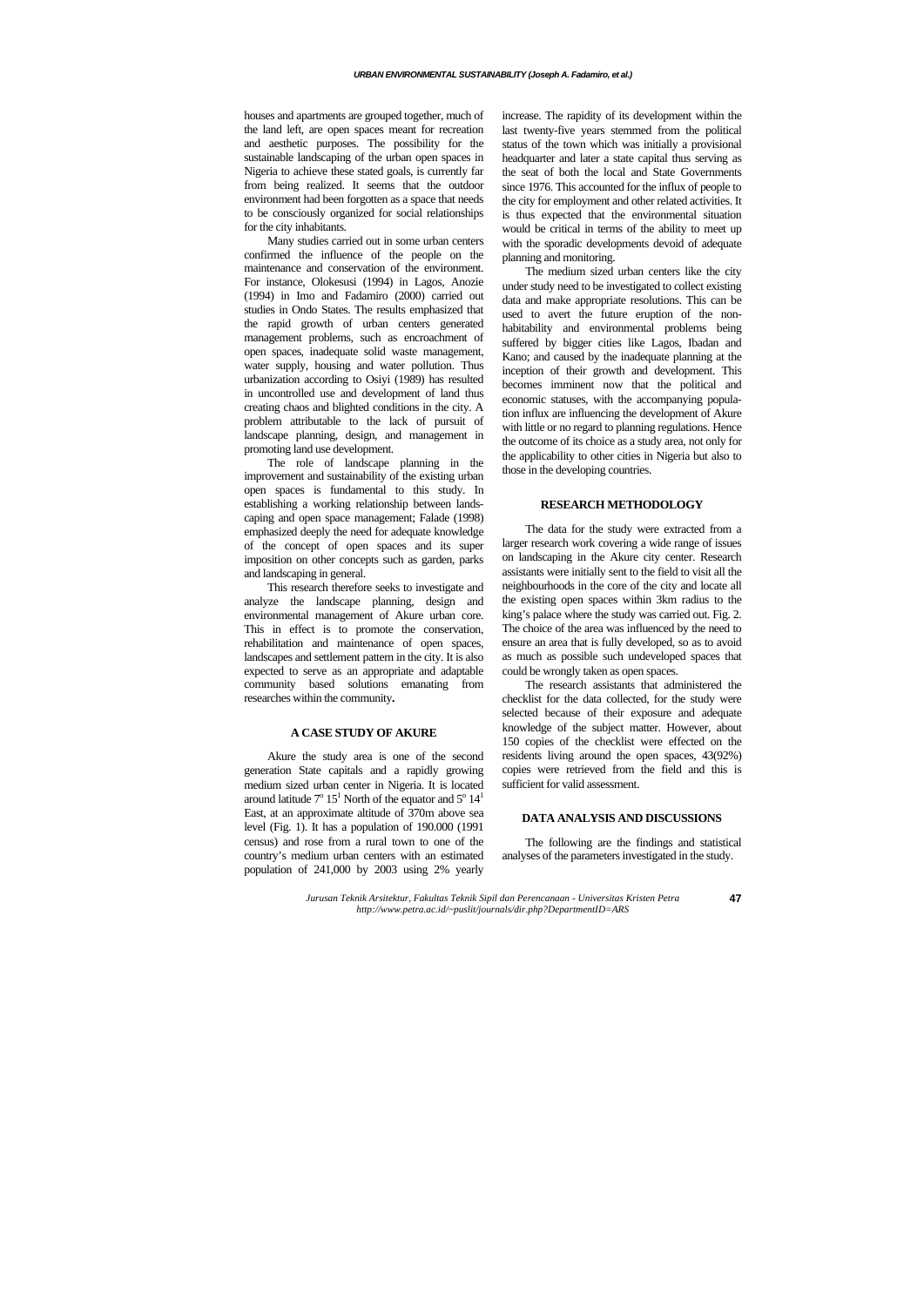houses and apartments are grouped together, much of the land left, are open spaces meant for recreation and aesthetic purposes. The possibility for the sustainable landscaping of the urban open spaces in Nigeria to achieve these stated goals, is currently far from being realized. It seems that the outdoor environment had been forgotten as a space that needs to be consciously organized for social relationships for the city inhabitants.

Many studies carried out in some urban centers confirmed the influence of the people on the maintenance and conservation of the environment. For instance, Olokesusi (1994) in Lagos, Anozie (1994) in Imo and Fadamiro (2000) carried out studies in Ondo States. The results emphasized that the rapid growth of urban centers generated management problems, such as encroachment of open spaces, inadequate solid waste management, water supply, housing and water pollution. Thus urbanization according to Osiyi (1989) has resulted in uncontrolled use and development of land thus creating chaos and blighted conditions in the city. A problem attributable to the lack of pursuit of landscape planning, design, and management in promoting land use development.

The role of landscape planning in the improvement and sustainability of the existing urban open spaces is fundamental to this study. In establishing a working relationship between landscaping and open space management; Falade (1998) emphasized deeply the need for adequate knowledge of the concept of open spaces and its super imposition on other concepts such as garden, parks and landscaping in general.

This research therefore seeks to investigate and analyze the landscape planning, design and environmental management of Akure urban core. This in effect is to promote the conservation, rehabilitation and maintenance of open spaces, landscapes and settlement pattern in the city. It is also expected to serve as an appropriate and adaptable community based solutions emanating from researches within the community**.** 

### **A CASE STUDY OF AKURE**

Akure the study area is one of the second generation State capitals and a rapidly growing medium sized urban center in Nigeria. It is located around latitude  $7^{\circ} 15^{\text{T}}$  North of the equator and  $5^{\circ} 14^{\text{T}}$ East, at an approximate altitude of 370m above sea level (Fig. 1). It has a population of 190.000 (1991 census) and rose from a rural town to one of the country's medium urban centers with an estimated population of 241,000 by 2003 using 2% yearly increase. The rapidity of its development within the last twenty-five years stemmed from the political status of the town which was initially a provisional headquarter and later a state capital thus serving as the seat of both the local and State Governments since 1976. This accounted for the influx of people to the city for employment and other related activities. It is thus expected that the environmental situation would be critical in terms of the ability to meet up with the sporadic developments devoid of adequate planning and monitoring.

The medium sized urban centers like the city under study need to be investigated to collect existing data and make appropriate resolutions. This can be used to avert the future eruption of the nonhabitability and environmental problems being suffered by bigger cities like Lagos, Ibadan and Kano; and caused by the inadequate planning at the inception of their growth and development. This becomes imminent now that the political and economic statuses, with the accompanying population influx are influencing the development of Akure with little or no regard to planning regulations. Hence the outcome of its choice as a study area, not only for the applicability to other cities in Nigeria but also to those in the developing countries.

### **RESEARCH METHODOLOGY**

The data for the study were extracted from a larger research work covering a wide range of issues on landscaping in the Akure city center. Research assistants were initially sent to the field to visit all the neighbourhoods in the core of the city and locate all the existing open spaces within 3km radius to the king's palace where the study was carried out. Fig. 2. The choice of the area was influenced by the need to ensure an area that is fully developed, so as to avoid as much as possible such undeveloped spaces that could be wrongly taken as open spaces.

The research assistants that administered the checklist for the data collected, for the study were selected because of their exposure and adequate knowledge of the subject matter. However, about 150 copies of the checklist were effected on the residents living around the open spaces, 43(92%) copies were retrieved from the field and this is sufficient for valid assessment.

# **DATA ANALYSIS AND DISCUSSIONS**

The following are the findings and statistical analyses of the parameters investigated in the study.

*Jurusan Teknik Arsitektur, Fakultas Teknik Sipil dan Perencanaan - Universitas Kristen Petra http://www.petra.ac.id/~puslit/journals/dir.php?DepartmentID=ARS*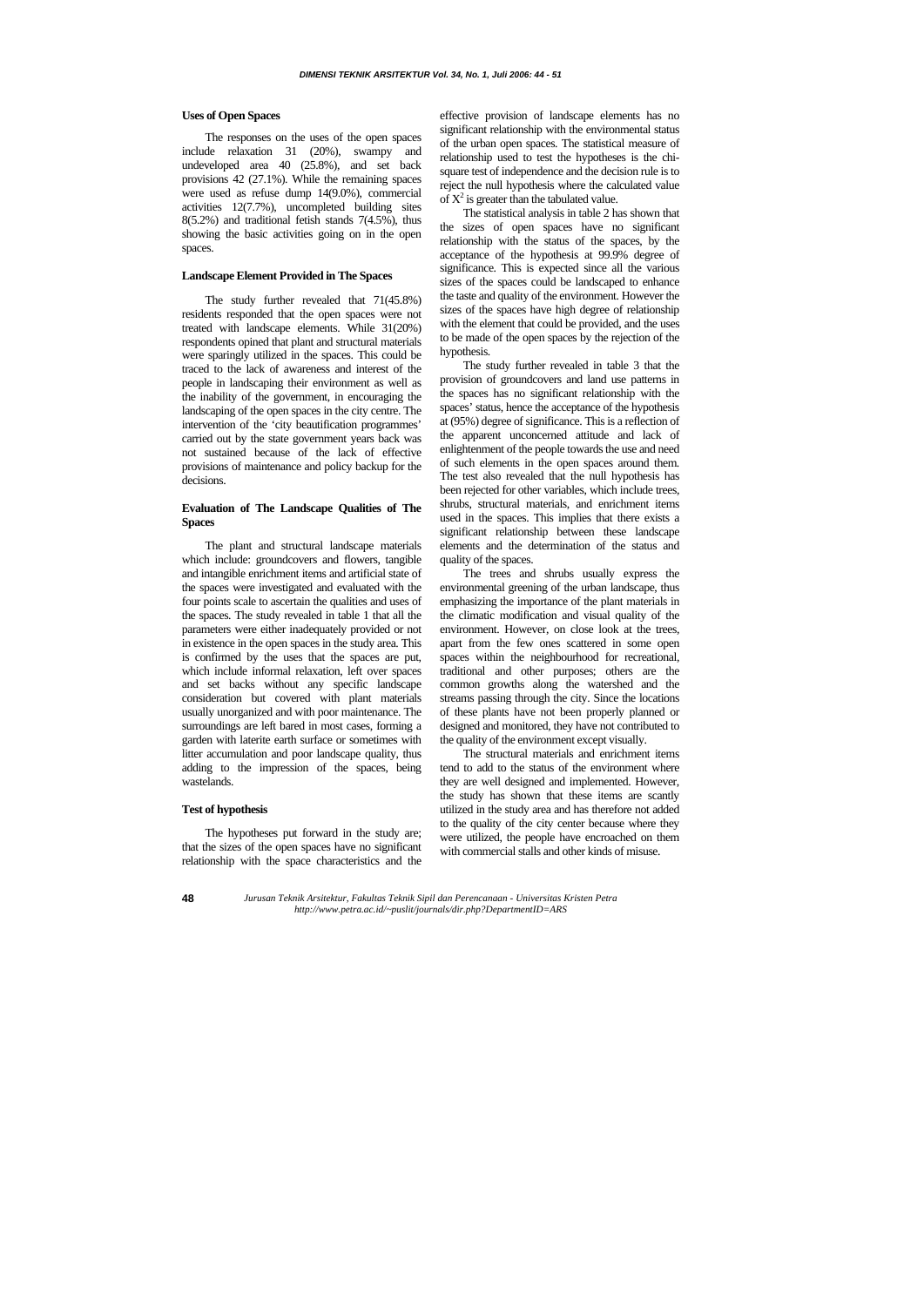### **Uses of Open Spaces**

The responses on the uses of the open spaces include relaxation 31 (20%), swampy and undeveloped area 40 (25.8%), and set back provisions 42 (27.1%). While the remaining spaces were used as refuse dump 14(9.0%), commercial activities 12(7.7%), uncompleted building sites  $8(5.2\%)$  and traditional fetish stands  $7(4.5\%)$ , thus showing the basic activities going on in the open spaces.

### **Landscape Element Provided in The Spaces**

The study further revealed that 71(45.8%) residents responded that the open spaces were not treated with landscape elements. While 31(20%) respondents opined that plant and structural materials were sparingly utilized in the spaces. This could be traced to the lack of awareness and interest of the people in landscaping their environment as well as the inability of the government, in encouraging the landscaping of the open spaces in the city centre. The intervention of the 'city beautification programmes' carried out by the state government years back was not sustained because of the lack of effective provisions of maintenance and policy backup for the decisions.

effective provision of landscape elements has no significant relationship with the environmental status of the urban open spaces. The statistical measure of relationship used to test the hypotheses is the chisquare test of independence and the decision rule is to reject the null hypothesis where the calculated value of  $X^2$  is greater than the tabulated value.

# **Evaluation of The Landscape Qualities of The Spaces**

The plant and structural landscape materials which include: groundcovers and flowers, tangible and intangible enrichment items and artificial state of the spaces were investigated and evaluated with the four points scale to ascertain the qualities and uses of the spaces. The study revealed in table 1 that all the parameters were either inadequately provided or not in existence in the open spaces in the study area. This is confirmed by the uses that the spaces are put, which include informal relaxation, left over spaces and set backs without any specific landscape consideration but covered with plant materials usually unorganized and with poor maintenance. The surroundings are left bared in most cases, forming a garden with laterite earth surface or sometimes with litter accumulation and poor landscape quality, thus adding to the impression of the spaces, being wastelands.

### **Test of hypothesis**

The hypotheses put forward in the study are; that the sizes of the open spaces have no significant relationship with the space characteristics and the

The statistical analysis in table 2 has shown that the sizes of open spaces have no significant relationship with the status of the spaces, by the acceptance of the hypothesis at 99.9% degree of significance. This is expected since all the various sizes of the spaces could be landscaped to enhance the taste and quality of the environment. However the sizes of the spaces have high degree of relationship with the element that could be provided, and the uses to be made of the open spaces by the rejection of the hypothesis.

The study further revealed in table 3 that the provision of groundcovers and land use patterns in the spaces has no significant relationship with the spaces' status, hence the acceptance of the hypothesis at (95%) degree of significance. This is a reflection of the apparent unconcerned attitude and lack of enlightenment of the people towards the use and need of such elements in the open spaces around them. The test also revealed that the null hypothesis has been rejected for other variables, which include trees, shrubs, structural materials, and enrichment items used in the spaces. This implies that there exists a significant relationship between these landscape elements and the determination of the status and quality of the spaces.

The trees and shrubs usually express the environmental greening of the urban landscape, thus emphasizing the importance of the plant materials in the climatic modification and visual quality of the environment. However, on close look at the trees, apart from the few ones scattered in some open spaces within the neighbourhood for recreational, traditional and other purposes; others are the common growths along the watershed and the streams passing through the city. Since the locations of these plants have not been properly planned or designed and monitored, they have not contributed to the quality of the environment except visually.

The structural materials and enrichment items tend to add to the status of the environment where they are well designed and implemented. However, the study has shown that these items are scantly utilized in the study area and has therefore not added to the quality of the city center because where they were utilized, the people have encroached on them with commercial stalls and other kinds of misuse.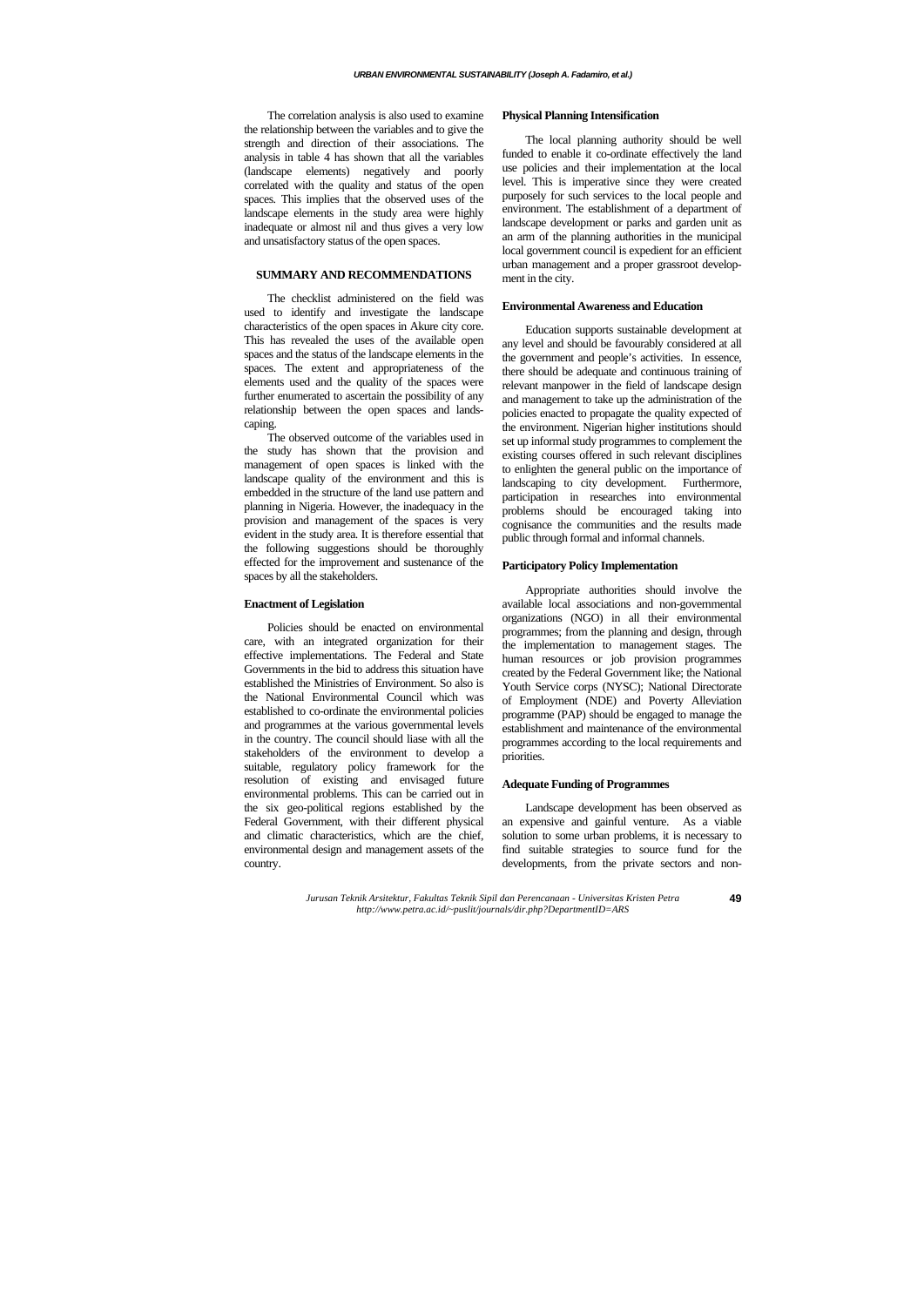The correlation analysis is also used to examine the relationship between the variables and to give the strength and direction of their associations. The analysis in table 4 has shown that all the variables (landscape elements) negatively and poorly correlated with the quality and status of the open spaces. This implies that the observed uses of the landscape elements in the study area were highly inadequate or almost nil and thus gives a very low and unsatisfactory status of the open spaces.

# **SUMMARY AND RECOMMENDATIONS**

The checklist administered on the field was used to identify and investigate the landscape characteristics of the open spaces in Akure city core. This has revealed the uses of the available open spaces and the status of the landscape elements in the spaces. The extent and appropriateness of the elements used and the quality of the spaces were further enumerated to ascertain the possibility of any relationship between the open spaces and landscaping.

The observed outcome of the variables used in the study has shown that the provision and management of open spaces is linked with the landscape quality of the environment and this is embedded in the structure of the land use pattern and planning in Nigeria. However, the inadequacy in the provision and management of the spaces is very evident in the study area. It is therefore essential that the following suggestions should be thoroughly effected for the improvement and sustenance of the spaces by all the stakeholders.

### **Enactment of Legislation**

Policies should be enacted on environmental care, with an integrated organization for their effective implementations. The Federal and State Governments in the bid to address this situation have established the Ministries of Environment. So also is the National Environmental Council which was established to co-ordinate the environmental policies and programmes at the various governmental levels in the country. The council should liase with all the stakeholders of the environment to develop a suitable, regulatory policy framework for the resolution of existing and envisaged future environmental problems. This can be carried out in the six geo-political regions established by the Federal Government, with their different physical and climatic characteristics, which are the chief, environmental design and management assets of the country.

### **Physical Planning Intensification**

The local planning authority should be well funded to enable it co-ordinate effectively the land use policies and their implementation at the local level. This is imperative since they were created purposely for such services to the local people and environment. The establishment of a department of landscape development or parks and garden unit as an arm of the planning authorities in the municipal local government council is expedient for an efficient urban management and a proper grassroot development in the city.

### **Environmental Awareness and Education**

Education supports sustainable development at any level and should be favourably considered at all the government and people's activities. In essence, there should be adequate and continuous training of relevant manpower in the field of landscape design and management to take up the administration of the policies enacted to propagate the quality expected of the environment. Nigerian higher institutions should set up informal study programmes to complement the existing courses offered in such relevant disciplines to enlighten the general public on the importance of landscaping to city development. Furthermore, participation in researches into environmental problems should be encouraged taking into cognisance the communities and the results made public through formal and informal channels.

### **Participatory Policy Implementation**

Appropriate authorities should involve the available local associations and non-governmental organizations (NGO) in all their environmental programmes; from the planning and design, through the implementation to management stages. The human resources or job provision programmes created by the Federal Government like; the National Youth Service corps (NYSC); National Directorate of Employment (NDE) and Poverty Alleviation programme (PAP) should be engaged to manage the establishment and maintenance of the environmental programmes according to the local requirements and priorities.

#### **Adequate Funding of Programmes**

Landscape development has been observed as an expensive and gainful venture. As a viable solution to some urban problems, it is necessary to find suitable strategies to source fund for the developments, from the private sectors and non-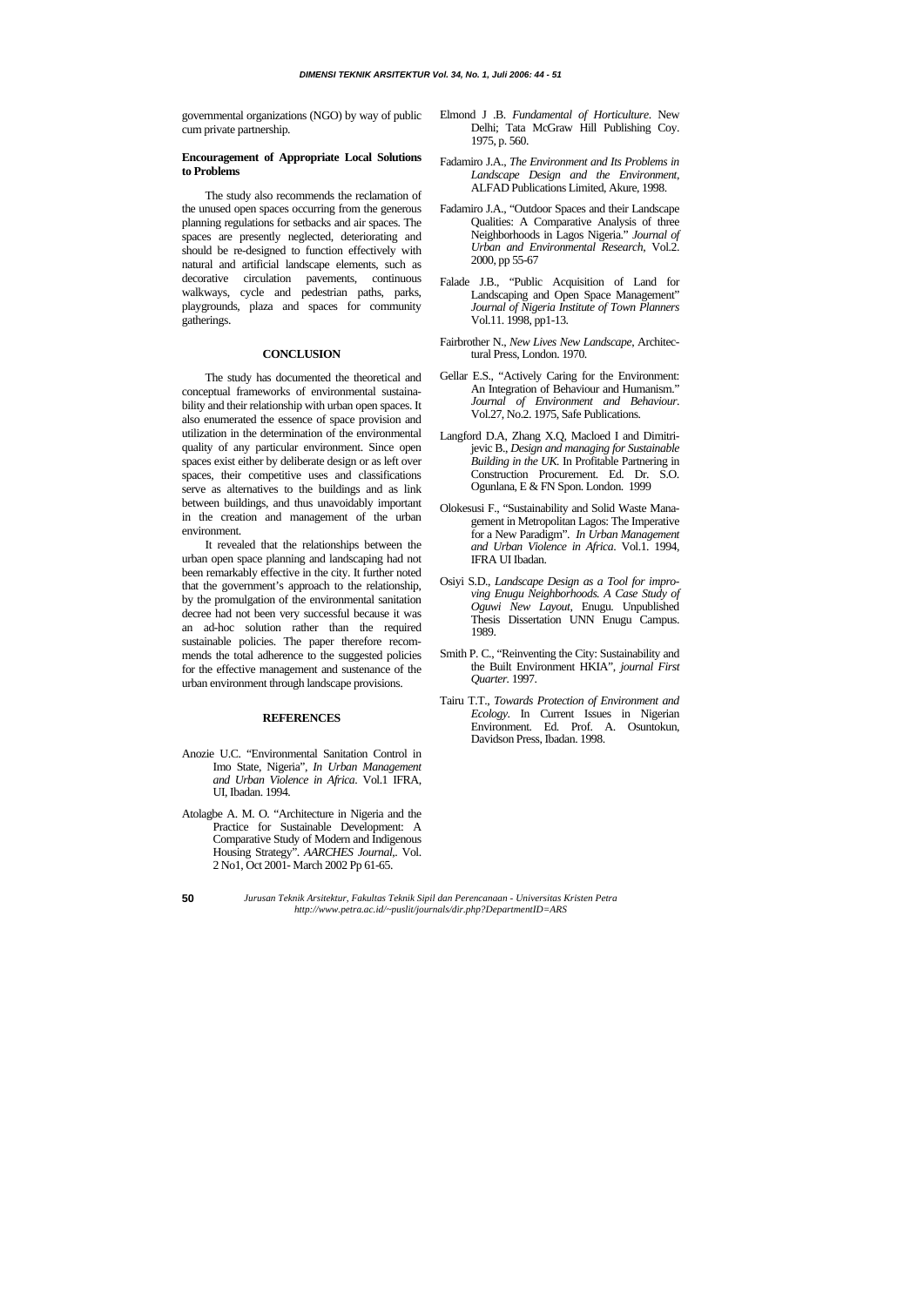- **50**
- *Jurusan Teknik Arsitektur, Fakultas Teknik Sipil dan Perencanaan Universitas Kristen Petra http://www.petra.ac.id/~puslit/journals/dir.php?DepartmentID=ARS*

governmental organizations (NGO) by way of public cum private partnership.

# **Encouragement of Appropriate Local Solutions to Problems**

The study also recommends the reclamation of the unused open spaces occurring from the generous planning regulations for setbacks and air spaces. The spaces are presently neglected, deteriorating and should be re-designed to function effectively with natural and artificial landscape elements, such as decorative circulation pavements, continuous walkways, cycle and pedestrian paths, parks, playgrounds, plaza and spaces for community gatherings.

### **CONCLUSION**

The study has documented the theoretical and conceptual frameworks of environmental sustainability and their relationship with urban open spaces. It also enumerated the essence of space provision and utilization in the determination of the environmental quality of any particular environment. Since open spaces exist either by deliberate design or as left over spaces, their competitive uses and classifications serve as alternatives to the buildings and as link between buildings, and thus unavoidably important in the creation and management of the urban environment.

It revealed that the relationships between the urban open space planning and landscaping had not been remarkably effective in the city. It further noted that the government's approach to the relationship, by the promulgation of the environmental sanitation decree had not been very successful because it was an ad-hoc solution rather than the required sustainable policies. The paper therefore recommends the total adherence to the suggested policies for the effective management and sustenance of the urban environment through landscape provisions.

#### **REFERENCES**

- Anozie U.C. "Environmental Sanitation Control in Imo State, Nigeria", *In Urban Management and Urban Violence in Africa*. Vol.1 IFRA, UI, Ibadan. 1994.
- Atolagbe A. M. O. "Architecture in Nigeria and the Practice for Sustainable Development: A Comparative Study of Modern and Indigenous Housing Strategy". *AARCHES Journal*,. Vol. 2 No1, Oct 2001- March 2002 Pp 61-65.
- Elmond J .B. *Fundamental of Horticulture*. New Delhi; Tata McGraw Hill Publishing Coy. 1975, p. 560.
- Fadamiro J.A., *The Environment and Its Problems in Landscape Design and the Environment*, ALFAD Publications Limited, Akure, 1998.
- Fadamiro J.A., "Outdoor Spaces and their Landscape Qualities: A Comparative Analysis of three Neighborhoods in Lagos Nigeria." *Journal of Urban and Environmental Research*, Vol.2. 2000, pp 55-67
- Falade J.B., "Public Acquisition of Land for Landscaping and Open Space Management" *Journal of Nigeria Institute of Town Planners* Vol.11. 1998, pp1-13.
- Fairbrother N., *New Lives New Landscape*, Architectural Press, London. 1970.
- Gellar E.S., "Actively Caring for the Environment: An Integration of Behaviour and Humanism." *Journal of Environment and Behaviour*. Vol.27, No.2. 1975, Safe Publications.
- Langford D.A, Zhang X.Q, Macloed I and Dimitrijevic B., *Design and managing for Sustainable Building in the UK.* In Profitable Partnering in Construction Procurement. Ed. Dr. S.O. Ogunlana, E & FN Spon. London. 1999
- Olokesusi F., "Sustainability and Solid Waste Management in Metropolitan Lagos: The Imperative for a New Paradigm". *In Urban Management and Urban Violence in Africa*. Vol.1. 1994, IFRA UI Ibadan.
- Osiyi S.D., *Landscape Design as a Tool for improving Enugu Neighborhoods. A Case Study of Oguwi New Layout,* Enugu. Unpublished Thesis Dissertation UNN Enugu Campus. 1989.
- Smith P. C., "Reinventing the City: Sustainability and the Built Environment HKIA", *journal First Quarter.* 1997.
- Tairu T.T., *Towards Protection of Environment and Ecology*. In Current Issues in Nigerian Environment. Ed. Prof. A. Osuntokun, Davidson Press, Ibadan. 1998.